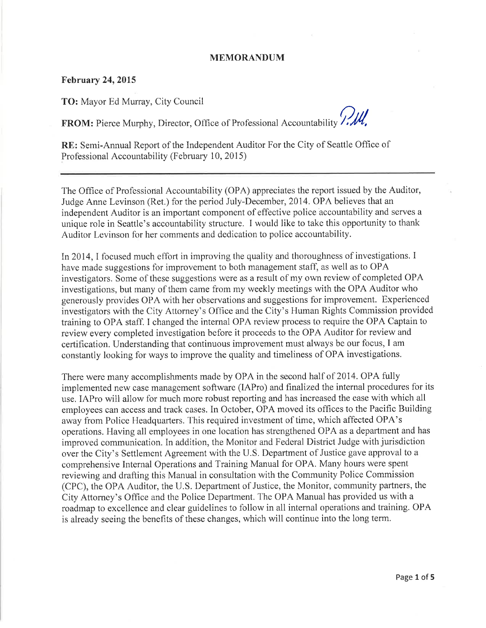## MEMORANDUM

### **February 24, 2015**

TO: Mayor Ed Murray, City Council

FROM: Pierce Murphy, Director, Office of Professional Accountability  $\mathcal{W}$ ,

RE: Semi-Annual Report of the Independent Auditor For the City of Seattle Office of Professional Accountability (February 10, 2015)

The Office of Professional Accountability (OPA) appreciates the report issued by the Auditor, Judge Anne Levinson (Ret.) for the period July-December,2014. OPA believes that an independent Auditor is an important component of effective police accountability and serves a unique role in Seattle's accountability structure. I would like to take this opportunity to thank Auditor Levinson for her comments and dedication to police accountability.

In 2014, I focused much effort in improving the quality and thoroughness of investigations. I have made suggestions for improvement to both management staff, as well as to OPA investigators. Some of these suggestions were as a result of my own review of completed OPA investigations, but many of them came from my weekly meetings with the OPA Auditor who generously provides OPA with her observations and suggestions for improvement. Experienced investigators with the City Attorney's Office and the City's Human Rights Commission provided training to OPA staff. I changed the internal OPA review process to require the OPA Captain to review every completed investigation before it proceeds to the OPA Auditor for review and certification. Understanding that continuous improvement must always be our focus, I am constantly looking for ways to improve the quality and timeliness of OPA investigations.

There were many accomplishments made by OPA in the second half of 2014. OPA fully implemented new case management software (IAPro) and finalized the internal procedures for its use. IAPro will allow for much more robust reporting and has increased the ease with which all employees can access and track cases. In October, OPA moved its offices to the Pacific Building away from Police Headquarters. This required investment of time, which affected OPA's operations. Having all employees in one location has strengthened OPA as a department and has improved communication. In addition, the Monitor and Federal District Judge with jurisdiction over the City's Settlement Agreement with the U.S. Department of Justice gave approval to a comprehensive Internal Operations and Training Manual for OPA. Many hours were spent reviewing and drafting this Manual in consultation with the Community Police Commission (CPC), the OPA Auditor, the U.S. Department of Justice, the Monitor, community partners, the City Attorney's Office and the Police Department. The OPA Manual has provided us with <sup>a</sup> roadmap to excellence and clear guidelines to follow in all internal operations and training. OPA is already seeing the benefits of these changes, which will continue into the long term.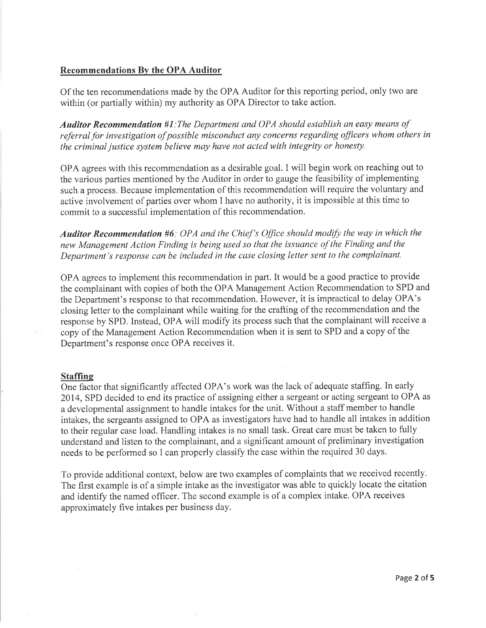## Recommendations Bv the OPA Auditor

Of the ten recommendations made by the OPA Auditor for this reporting period, only two are within (or partially within) my authority as OPA Director to take action.

Audítor Recommendatíon #L'The Department and OPA should establish an easy means of referral for investigation of possible misconduct any concerns regarding officers whom others in the criminal justice system believe may have not acted with integrity or honesty.

OPA agrees with this recommendation as a desirable goal. I will begin work on reaching out to the various parties mentioned by the Auditor in order to gauge the feasibility of implementing such a process. Because implementation of this recommendation will require the voluntary and active involvement of parties over whom I have no authority, it is impossible at this time to commit to a successful implementation of this recommendation.

**Auditor Recommendation** #6: OPA and the Chief's Office should modify the way in which the new Management Action Finding is being used so that the issuance of the Finding and the Department's response can be included in the case closing letter sent to the complainant.

OPA agrees to implement this recommendation in part. It would be a good practice to provide the complainant with copies of both the OPA Management Action Recommendation to SPD and the Department's response to that recommendation. However, it is impractical to delay OPA's closing letter to the complainant while waiting for the crafting of the recommendation and the response by SPD. Instead, OPA will modify its process such that the complainant will receive <sup>a</sup> copy of the Management Action Recommendation when it is sent to SPD and a copy of the Department's response once OPA receives it.

# Staffine

One factor that significantly affected OPA's work was the lack of adequate staffrng. In early 2014, SPD decided to end its practice of assigning either a sergeant or acting sergeant to OPA as a developmental assignment to handle intakes for the unit. Without a staff member to handle intakes, the sergeants assigned to OPA as investigators have had to handle all intakes in addition to their regular case load. Handling intakes is no small task. Great care must be taken to fully understand and listen to the complainant, and a significant amount of preliminary investigation needs to be performed so I can properly classify the case within the required 30 days.

To provide additional context, below are two examples of complaints that we received recently. The first example is of a simple intake as the investigator was able to quickly locate the citation and identify the named officer. The second example is of a complex intake. OPA receives approximately five intakes per business day.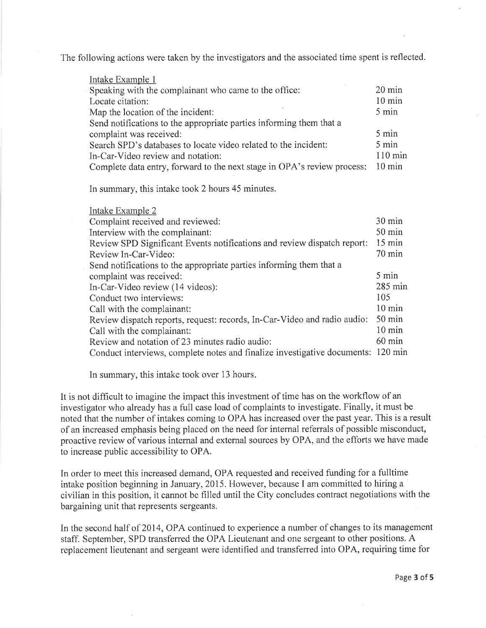The following actions were taken by the investigators and the associated time spent is reflected.

| Intake Example 1                                                        |                   |
|-------------------------------------------------------------------------|-------------------|
| Speaking with the complainant who came to the office:                   | $20 \text{ min}$  |
| Locate citation:                                                        | $10 \text{ min}$  |
| Map the location of the incident:                                       | 5 min             |
| Send notifications to the appropriate parties informing them that a     |                   |
| complaint was received:                                                 | 5 min             |
| Search SPD's databases to locate video related to the incident:         | 5 min             |
| In-Car-Video review and notation:                                       | $110 \text{ min}$ |
| Complete data entry, forward to the next stage in OPA's review process: | $10 \text{ min}$  |

In summary, this intake took 2 hours 45 minutes.

| Intake Example 2                                                                 |                  |
|----------------------------------------------------------------------------------|------------------|
| Complaint received and reviewed:                                                 | 30 min           |
| Interview with the complainant:                                                  | 50 min           |
| Review SPD Significant Events notifications and review dispatch report:          | $15 \text{ min}$ |
| Review In-Car-Video:                                                             | $70 \text{ min}$ |
| Send notifications to the appropriate parties informing them that a              |                  |
| complaint was received:                                                          | 5 min            |
| In-Car-Video review (14 videos):                                                 | 285 min          |
| Conduct two interviews:                                                          | 105              |
| Call with the complainant:                                                       | $10 \text{ min}$ |
| Review dispatch reports, request: records, In-Car-Video and radio audio:         | $50 \text{ min}$ |
| Call with the complainant:                                                       | $10 \text{ min}$ |
| Review and notation of 23 minutes radio audio:                                   | $60 \text{ min}$ |
| Conduct interviews, complete notes and finalize investigative documents: 120 min |                  |

In summary, this intake took over 13 hours.

It is not difficult to imagine the impact this investment of time has on the workflow of an investigator who already has a full case load of complaints to investigate. Finally, it must be noted that the number of intakes coming to OPA has increased over the past year. This is a result of an increased emphasis being placed on the need for intemal referrals of possible misconduct, proactive review of various internal and external sources by OPA, and the efforts we have made to increase public accessibility to OPA.

In order to meet this increased demand, OPA requested and received funding for a fulltime intake position beginning in January, 2015. However, because I am còmmitted to hiring <sup>a</sup> civilian in this position, it cannot be filled until the City concludes contract negotiations with the bargaining unit that represents sergeants.

In the second half of 2014, OPA continued to experience a number of changes to its management staff. September, SPD transferred the OPA Lieutenant and one sergeant to other positions, A replacement lieutenant and sergeant were identihed and transferred into OPA, requiring time for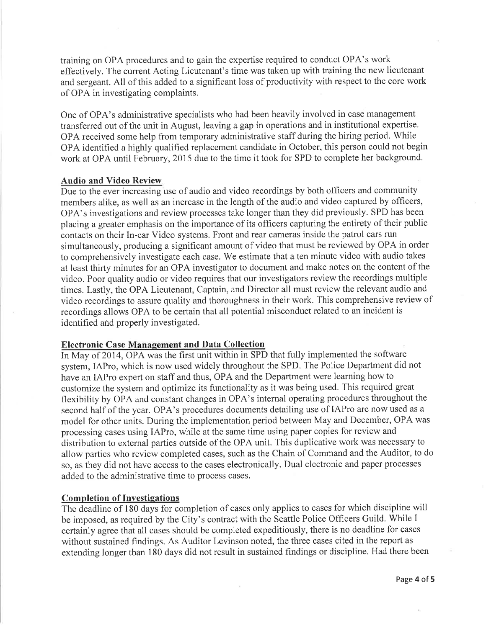training on OPA procedures and to gain the expertise required to conduct OPA's work effectively. The current Acting Lieutenant's time was taken up with training the new lieutenant and sergeant. All of this added to a significant loss of productivity with respect to the core work of OPA in investigating complaints.

One of OPA's administrative specialists who had been heavily involved in case management transferred out of the unit in August, leaving a gap in operations and in institutional expertise. OPA received some help from temporary administrative staff during the hiring period. While OPA identified a highly qualified replacement candidate in October, this person could not begin work at OPA until February, 2015 due to the time it took for SPD to complete her background.

#### Audio and Video Review

Due to the ever increasing use of audio and video recordings by both officers and community members alike, as well as an increase in the length of the audio and video captured by officers, OPA's investigations and review processes take longer than they did previously. SPD has been placing a greater emphasis on the importance of its officers capturing the entirety of their public contacts on their In-car Video systems. Front and rear cameras inside the patrol cars run simultaneously, producing a significant amount of video that must be reviewed by OPA in order to comprehensively investigate each case. We estimate that a ten minute video with audio takes at least thirty minutes for an OPA investigator to document and make notes on the content of the video. Poor quality audio or video requires that our investigators review the recordings multiple times. Lastly, the OPA Lieutenant, Captain, and Director all must review the relevant audio and video recordings to assure quality and thoroughness in their work. This comprehensive review of recordings allows OPA to be certain that all potential misconduct related to an incident is identified and properly investigated.

# Electronic Case Management and Data Collection

In May of 2014, OPA was the first unit within in SPD that fully implemented the software system, IAPro, which is now used widely throughout the SPD. The Police Department did not have an IAPro expert on staff and thus, OPA and the Department were learning how to customize the system and optimize its functionality as it was being used. This required great flexibility by OPA and constant changes in OPA's internal operating procedures throughout the second half of the year. OPA's procedures documents detailing use of IAPro are now used as <sup>a</sup> model for other units. During the implementation period between May and December, OPA was processing cases using IAPro, while at the same time using paper copies for review and distribution to external parties outside of the OPA unit. This duplicative work was necessary to allow parties who review completed cases, such as the Chain of Command and the Auditor, to do so, as they did not have access to the cases electronically. Dual electronic and paper processes added to the administrative time to process cases.

#### Completion of Investigations

The deadline of 180 days for completion of cases only applies to cases for which discipline will be imposed, as required by the City's contract with the Seattle Police Offrcers Guild. 'While I certainly agree that all cases should be completed expeditiously, there is no deadline for cases without sustained findings. As Auditor Levinson noted, the three cases cited in the report as extending longer than 180 days did not result in sustained findings or discipline. Had there been